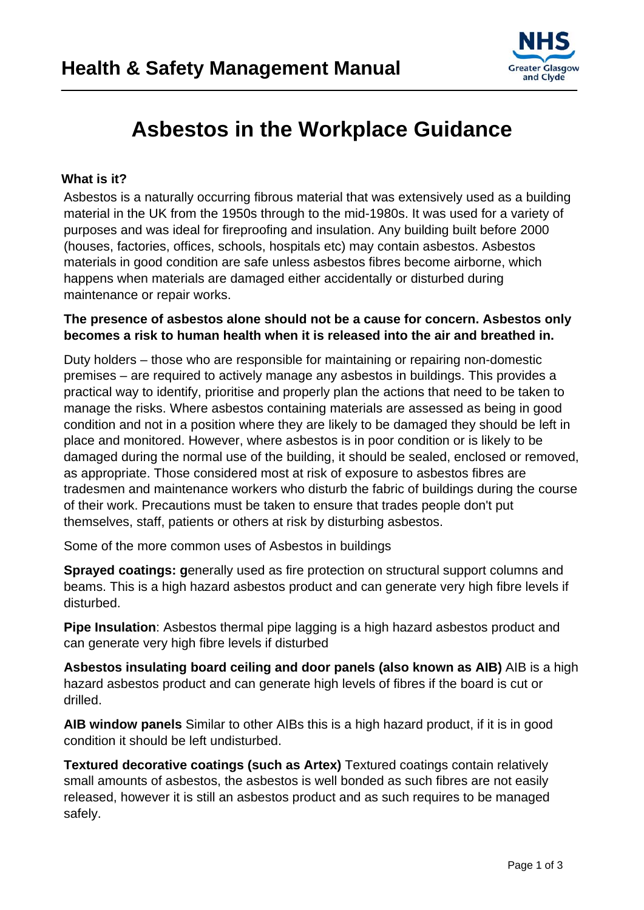

# **Asbestos in the Workplace Guidance**

## **What is it?**

Asbestos is a naturally occurring fibrous material that was extensively used as a building material in the UK from the 1950s through to the mid-1980s. It was used for a variety of purposes and was ideal for fireproofing and insulation. Any building built before 2000 (houses, factories, offices, schools, hospitals etc) may contain asbestos. Asbestos materials in good condition are safe unless asbestos fibres become airborne, which happens when materials are damaged either accidentally or disturbed during maintenance or repair works.

## **The presence of asbestos alone should not be a cause for concern. Asbestos only becomes a risk to human health when it is released into the air and breathed in.**

Duty holders – those who are responsible for maintaining or repairing non-domestic premises – are required to actively manage any asbestos in buildings. This provides a practical way to identify, prioritise and properly plan the actions that need to be taken to manage the risks. Where asbestos containing materials are assessed as being in good condition and not in a position where they are likely to be damaged they should be left in place and monitored. However, where asbestos is in poor condition or is likely to be damaged during the normal use of the building, it should be sealed, enclosed or removed, as appropriate. Those considered most at risk of exposure to asbestos fibres are tradesmen and maintenance workers who disturb the fabric of buildings during the course of their work. Precautions must be taken to ensure that trades people don't put themselves, staff, patients or others at risk by disturbing asbestos.

Some of the more common uses of Asbestos in buildings

**Sprayed coatings: g**enerally used as fire protection on structural support columns and beams. This is a high hazard asbestos product and can generate very high fibre levels if disturbed.

**Pipe Insulation**: Asbestos thermal pipe lagging is a high hazard asbestos product and can generate very high fibre levels if disturbed

**Asbestos insulating board ceiling and door panels (also known as AIB)** AIB is a high hazard asbestos product and can generate high levels of fibres if the board is cut or drilled.

**AIB window panels** Similar to other AIBs this is a high hazard product, if it is in good condition it should be left undisturbed.

**Textured decorative coatings (such as Artex)** Textured coatings contain relatively small amounts of asbestos, the asbestos is well bonded as such fibres are not easily released, however it is still an asbestos product and as such requires to be managed safely.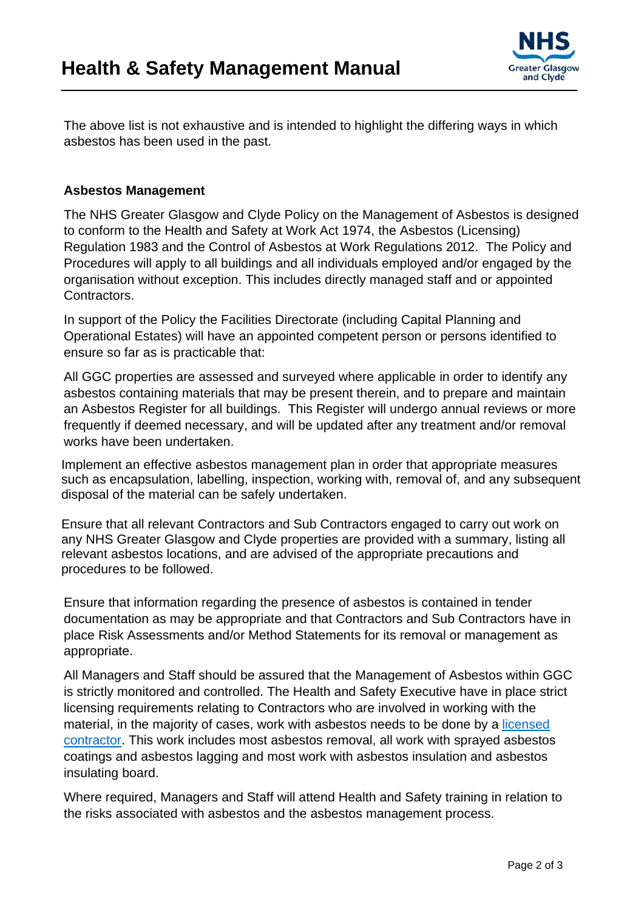

The above list is not exhaustive and is intended to highlight the differing ways in which asbestos has been used in the past.

#### **Asbestos Management**

The NHS Greater Glasgow and Clyde Policy on the Management of Asbestos is designed to conform to the Health and Safety at Work Act 1974, the Asbestos (Licensing) Regulation 1983 and the Control of Asbestos at Work Regulations 2012. The Policy and Procedures will apply to all buildings and all individuals employed and/or engaged by the organisation without exception. This includes directly managed staff and or appointed Contractors.

In support of the Policy the Facilities Directorate (including Capital Planning and Operational Estates) will have an appointed competent person or persons identified to ensure so far as is practicable that:

All GGC properties are assessed and surveyed where applicable in order to identify any asbestos containing materials that may be present therein, and to prepare and maintain an Asbestos Register for all buildings. This Register will undergo annual reviews or more frequently if deemed necessary, and will be updated after any treatment and/or removal works have been undertaken.

Implement an effective asbestos management plan in order that appropriate measures such as encapsulation, labelling, inspection, working with, removal of, and any subsequent disposal of the material can be safely undertaken.

Ensure that all relevant Contractors and Sub Contractors engaged to carry out work on any NHS Greater Glasgow and Clyde properties are provided with a summary, listing all relevant asbestos locations, and are advised of the appropriate precautions and procedures to be followed.

Ensure that information regarding the presence of asbestos is contained in tender documentation as may be appropriate and that Contractors and Sub Contractors have in place Risk Assessments and/or Method Statements for its removal or management as appropriate.

All Managers and Staff should be assured that the Management of Asbestos within GGC is strictly monitored and controlled. The Health and Safety Executive have in place strict licensing requirements relating to Contractors who are involved in working with the material, in the majority of cases, work with asbestos needs to be done by a [licensed](http://www.hse.gov.uk/asbestos/licensing/licensed-contractor.htm)  [contractor](http://www.hse.gov.uk/asbestos/licensing/licensed-contractor.htm). This work includes most asbestos removal, all work with sprayed asbestos coatings and asbestos lagging and most work with asbestos insulation and asbestos insulating board.

Where required, Managers and Staff will attend Health and Safety training in relation to the risks associated with asbestos and the asbestos management process.